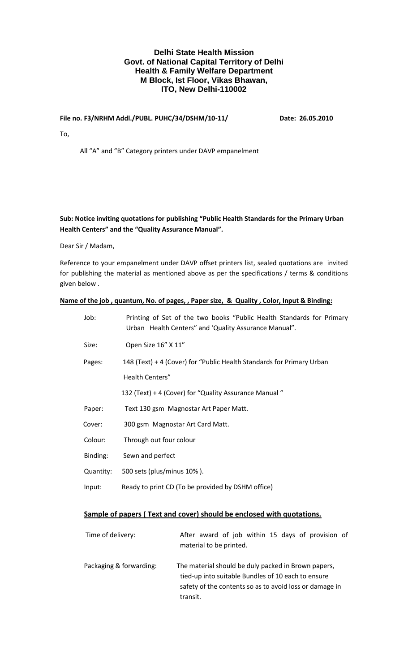## **Delhi State Health Mission Govt. of National Capital Territory of Delhi Health & Family Welfare Department M Block, Ist Floor, Vikas Bhawan, ITO, New Delhi-110002**

#### **File no. F3/NRHM Addl./PUBL. PUHC/34/DSHM/10-11/ Date: 26.05.2010**

To,

All "A" and "B" Category printers under DAVP empanelment

## **Sub: Notice inviting quotations for publishing "Public Health Standards for the Primary Urban Health Centers" and the "Quality Assurance Manual".**

Dear Sir / Madam,

Reference to your empanelment under DAVP offset printers list, sealed quotations are invited for publishing the material as mentioned above as per the specifications / terms & conditions given below .

#### **Name of the job , quantum, No. of pages, , Paper size, & Quality , Color, Input & Binding:**

| Job:      | Printing of Set of the two books "Public Health Standards for Primary<br>Urban Health Centers" and 'Quality Assurance Manual". |
|-----------|--------------------------------------------------------------------------------------------------------------------------------|
| Size:     | Open Size 16" X 11"                                                                                                            |
| Pages:    | 148 (Text) + 4 (Cover) for "Public Health Standards for Primary Urban                                                          |
|           | Health Centers"                                                                                                                |
|           | 132 (Text) + 4 (Cover) for "Quality Assurance Manual"                                                                          |
| Paper:    | Text 130 gsm Magnostar Art Paper Matt.                                                                                         |
| Cover:    | 300 gsm Magnostar Art Card Matt.                                                                                               |
| Colour:   | Through out four colour                                                                                                        |
| Binding:  | Sewn and perfect                                                                                                               |
| Quantity: | 500 sets (plus/minus 10%).                                                                                                     |
| Input:    | Ready to print CD (To be provided by DSHM office)                                                                              |
|           |                                                                                                                                |

# **Sample of papers ( Text and cover) should be enclosed with quotations.**

| Time of delivery:       | After award of job within 15 days of provision of<br>material to be printed.                                                                                                     |
|-------------------------|----------------------------------------------------------------------------------------------------------------------------------------------------------------------------------|
| Packaging & forwarding: | The material should be duly packed in Brown papers,<br>tied-up into suitable Bundles of 10 each to ensure<br>safety of the contents so as to avoid loss or damage in<br>transit. |